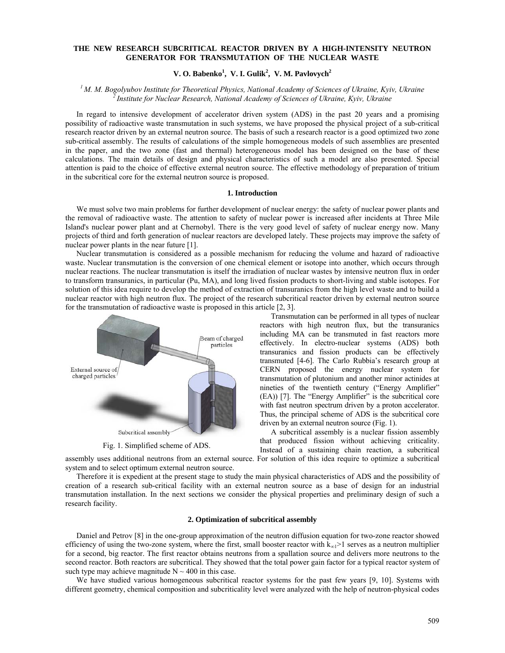# **THE NEW RESEARCH SUBCRITICAL REACTOR DRIVEN BY A HIGH-INTENSITY NEUTRON GENERATOR FOR TRANSMUTATION OF THE NUCLEAR WASTE**

 $V$ **.** O. Babenko<sup>1</sup>, V. I. Gulik<sup>2</sup>, V. M. Pavlovych<sup>2</sup>

*1 M. M. Bogolyubov Institute for Theoretical Physics, National Academy of Sciences of Ukraine, Kyiv, Ukraine 2 Institute for Nuclear Research, National Academy of Sciences of Ukraine, Kyiv, Ukraine*

In regard to intensive development of accelerator driven system (ADS) in the past 20 years and a promising possibility of radioactive waste transmutation in such systems, we have proposed the physical project of a sub-critical research reactor driven by an external neutron source. The basis of such a research reactor is a good optimized two zone sub-critical assembly. The results of calculations of the simple homogeneous models of such assemblies are presented in the paper, and the two zone (fast and thermal) heterogeneous model has been designed on the base of these calculations. The main details of design and physical characteristics of such a model are also presented. Special attention is paid to the choice of effective external neutron source. The effective methodology of preparation of tritium in the subcritical core for the external neutron source is proposed.

#### **1. Introduction**

We must solve two main problems for further development of nuclear energy: the safety of nuclear power plants and the removal of radioactive waste. The attention to safety of nuclear power is increased after incidents at Three Mile Island's nuclear power plant and at Chernobyl. There is the very good level of safety of nuclear energy now. Many projects of third and forth generation of nuclear reactors are developed lately. These projects may improve the safety of nuclear power plants in the near future [1].

Nuclear transmutation is considered as a possible mechanism for reducing the volume and hazard of radioactive waste. Nuclear transmutation is the conversion of one chemical element or isotope into another, which occurs through nuclear reactions. The nuclear transmutation is itself the irradiation of nuclear wastes by intensive neutron flux in order to transform transuranics, in particular (Pu, МА), and long lived fission products to short-living and stable isotopes. For solution of this idea require to develop the method of extraction of transuranics from the high level waste and to build a nuclear reactor with high neutron flux. The project of the research subcritical reactor driven by external neutron source for the transmutation of radioactive waste is proposed in this article [2, 3].



Fig. 1. Simplified scheme of ADS.

Transmutation can be performed in all types of nuclear reactors with high neutron flux, but the transuranics including MA can be transmuted in fast reactors more effectively. In electro-nuclear systems (ADS) both transuranics and fission products can be effectively transmuted [4-6]. The Carlo Rubbia's research group at CERN proposed the energy nuclear system for transmutation of plutonium and another minor actinides at nineties of the twentieth century ("Energy Amplifier" (EA)) [7]. The "Energy Amplifier" is the subcritical core with fast neutron spectrum driven by a proton accelerator. Thus, the principal scheme of ADS is the subcritical core driven by an external neutron source (Fig. 1).

A subcritical assembly is a nuclear fission assembly that produced fission without achieving criticality. Instead of a sustaining chain reaction, a subcritical

assembly uses additional neutrons from an external source. For solution of this idea require to optimize a subcritical system and to select optimum external neutron source.

Therefore it is expedient at the present stage to study the main physical characteristics of ADS and the possibility of creation of a research sub-critical facility with an external neutron source as a base of design for an industrial transmutation installation. In the next sections we consider the physical properties and preliminary design of such a research facility.

## **2. Optimization of subcritical assembly**

Daniel and Petrov [8] in the one-group approximation of the neutron diffusion equation for two-zone reactor showed efficiency of using the two-zone system, where the first, small booster reactor with  $k_{\infty}$ |>1 serves as a neutron multiplier for a second, big reactor. The first reactor obtains neutrons from a spallation source and delivers more neutrons to the second reactor. Both reactors are subcritical. They showed that the total power gain factor for a typical reactor system of such type may achieve magnitude  $N \sim 400$  in this case.

We have studied various homogeneous subcritical reactor systems for the past few years [9, 10]. Systems with different geometry, chemical composition and subcriticality level were analyzed with the help of neutron-physical codes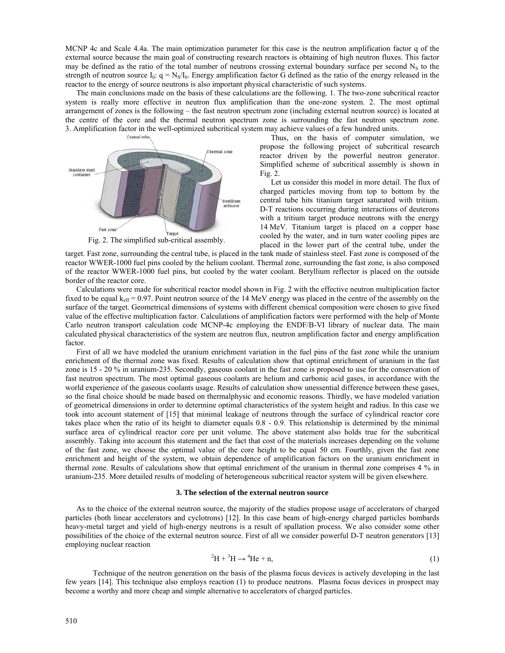MCNP 4c and Scale 4.4a. The main optimization parameter for this case is the neutron amplification factor q of the external source because the main goal of constructing research reactors is obtaining of high neutron fluxes. This factor may be defined as the ratio of the total number of neutrons crossing external boundary surface per second  $N<sub>S</sub>$  to the strength of neutron source  $I_0$ :  $q = N_s/I_0$ . Energy amplification factor G defined as the ratio of the energy released in the reactor to the energy of source neutrons is also important physical characteristic of such systems.

The main conclusions made on the basis of these calculations are the following. 1. The two-zone subcritical reactor system is really more effective in neutron flux amplification than the one-zone system. 2. The most optimal arrangement of zones is the following – the fast neutron spectrum zone (including external neutron source) is located at the centre of the core and the thermal neutron spectrum zone is surrounding the fast neutron spectrum zone. 3. Amplification factor in the well-optimized subcritical system may achieve values of a few hundred units.<br>Thus on the basis of commuter sim



Fig. 2. The simplified sub-critical assembly.

Thus, on the basis of computer simulation, we propose the following project of subcritical research reactor driven by the powerful neutron generator. Simplified scheme of subcritical assembly is shown in Fig. 2.

Let us consider this model in more detail. The flux of charged particles moving from top to bottom by the central tube hits titanium target saturated with tritium. D-T reactions occurring during interactions of deuterons with a tritium target produce neutrons with the energy 14 MeV. Titanium target is placed on a copper base cooled by the water, and in turn water cooling pipes are placed in the lower part of the central tube, under the

target. Fast zone, surrounding the central tube, is placed in the tank made of stainless steel. Fast zone is composed of the reactor WWER-1000 fuel pins cooled by the helium coolant. Thermal zone, surrounding the fast zone, is also composed of the reactor WWER-1000 fuel pins, but cooled by the water coolant. Beryllium reflector is placed on the outside border of the reactor core.

Calculations were made for subcritical reactor model shown in Fig. 2 with the effective neutron multiplication factor fixed to be equal  $k_{\text{eff}}$  = 0.97. Point neutron source of the 14 MeV energy was placed in the centre of the assembly on the surface of the target. Geometrical dimensions of systems with different chemical composition were chosen to give fixed value of the effective multiplication factor. Calculations of amplification factors were performed with the help of Monte Carlo neutron transport calculation code MCNP-4с employing the ENDF/B-VI library of nuclear data. The main calculated physical characteristics of the system are neutron flux, neutron amplification factor and energy amplification factor.

First of all we have modeled the uranium enrichment variation in the fuel pins of the fast zone while the uranium enrichment of the thermal zone was fixed. Results of calculation show that optimal enrichment of uranium in the fast zone is 15 - 20 % in uranium-235. Secondly, gaseous coolant in the fast zone is proposed to use for the conservation of fast neutron spectrum. The most optimal gaseous coolants are helium and carbonic acid gases, in accordance with the world experience of the gaseous coolants usage. Results of calculation show unessential difference between these gases, so the final choice should be made based on thermalphysic and economic reasons. Thirdly, we have modeled variation of geometrical dimensions in order to determine optimal characteristics of the system height and radius. In this case we took into account statement of [15] that minimal leakage of neutrons through the surface of cylindrical reactor core takes place when the ratio of its height to diameter equals 0.8 - 0.9. This relationship is determined by the minimal surface area of cylindrical reactor core per unit volume. The above statement also holds true for the subcritical assembly. Taking into account this statement and the fact that cost of the materials increases depending on the volume of the fast zone, we choose the optimal value of the core height to be equal 50 cm. Fourthly, given the fast zone enrichment and height of the system, we obtain dependence of amplification factors on the uranium enrichment in thermal zone. Results of calculations show that optimal enrichment of the uranium in thermal zone comprises 4 % in uranium-235. More detailed results of modeling of heterogeneous subcritical reactor system will be given elsewhere.

#### **3. The selection of the external neutron source**

As to the choice of the external neutron source, the majority of the studies propose usage of accelerators of charged particles (both linear accelerators and cyclotrons) [12]. In this case beam of high-energy charged particles bombards heavy-metal target and yield of high-energy neutrons is a result of spallation process. We also consider some other possibilities of the choice of the external neutron source. First of all we consider powerful D-T neutron generators [13] employing nuclear reaction

$$
{}^{2}H + {}^{3}H \rightarrow {}^{4}He + n,\tag{1}
$$

Technique of the neutron generation on the basis of the plasma focus devices is actively developing in the last few years [14]. This technique also employs reaction (1) to produce neutrons. Plasma focus devices in prospect may become a worthy and more cheap and simple alternative to accelerators of charged particles.